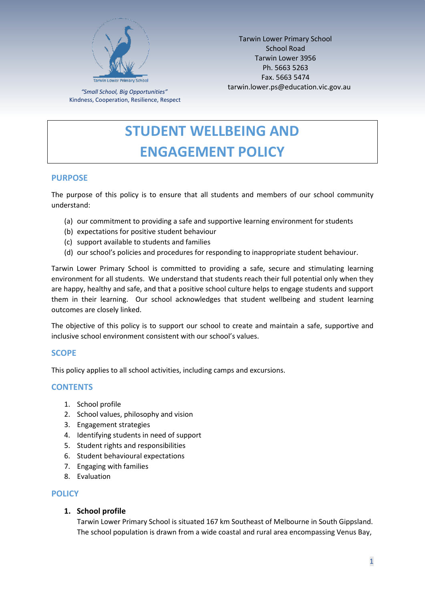

Tarwin Lower Primary School School Road Tarwin Lower 3956 Ph. 5663 5263 Fax. 5663 5474 tarwin.lower.ps@education.vic.gov.au

*"Small School, Big Opportunities"* Kindness, Cooperation, Resilience, Respect

# **STUDENT WELLBEING AND ENGAGEMENT POLICY**

# **PURPOSE**

The purpose of this policy is to ensure that all students and members of our school community understand:

- (a) our commitment to providing a safe and supportive learning environment for students
- (b) expectations for positive student behaviour
- (c) support available to students and families
- (d) our school's policies and procedures for responding to inappropriate student behaviour.

Tarwin Lower Primary School is committed to providing a safe, secure and stimulating learning environment for all students. We understand that students reach their full potential only when they are happy, healthy and safe, and that a positive school culture helps to engage students and support them in their learning. Our school acknowledges that student wellbeing and student learning outcomes are closely linked.

The objective of this policy is to support our school to create and maintain a safe, supportive and inclusive school environment consistent with our school's values.

# **SCOPE**

This policy applies to all school activities, including camps and excursions.

# **CONTENTS**

- 1. School profile
- 2. School values, philosophy and vision
- 3. Engagement strategies
- 4. Identifying students in need of support
- 5. Student rights and responsibilities
- 6. Student behavioural expectations
- 7. Engaging with families
- 8. Evaluation

#### **POLICY**

**1. School profile** 

Tarwin Lower Primary School is situated 167 km Southeast of Melbourne in South Gippsland. The school population is drawn from a wide coastal and rural area encompassing Venus Bay,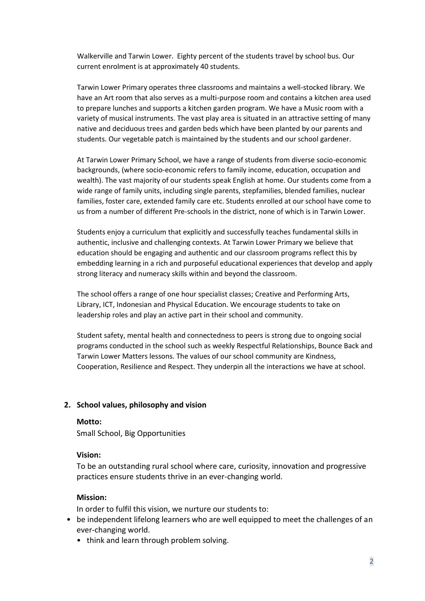Walkerville and Tarwin Lower. Eighty percent of the students travel by school bus. Our current enrolment is at approximately 40 students.

Tarwin Lower Primary operates three classrooms and maintains a well-stocked library. We have an Art room that also serves as a multi-purpose room and contains a kitchen area used to prepare lunches and supports a kitchen garden program. We have a Music room with a variety of musical instruments. The vast play area is situated in an attractive setting of many native and deciduous trees and garden beds which have been planted by our parents and students. Our vegetable patch is maintained by the students and our school gardener.

At Tarwin Lower Primary School, we have a range of students from diverse socio-economic backgrounds, (where socio-economic refers to family income, education, occupation and wealth). The vast majority of our students speak English at home. Our students come from a wide range of family units, including single parents, stepfamilies, blended families, nuclear families, foster care, extended family care etc. Students enrolled at our school have come to us from a number of different Pre-schools in the district, none of which is in Tarwin Lower.

Students enjoy a curriculum that explicitly and successfully teaches fundamental skills in authentic, inclusive and challenging contexts. At Tarwin Lower Primary we believe that education should be engaging and authentic and our classroom programs reflect this by embedding learning in a rich and purposeful educational experiences that develop and apply strong literacy and numeracy skills within and beyond the classroom.

The school offers a range of one hour specialist classes; Creative and Performing Arts, Library, ICT, Indonesian and Physical Education. We encourage students to take on leadership roles and play an active part in their school and community.

Student safety, mental health and connectedness to peers is strong due to ongoing social programs conducted in the school such as weekly Respectful Relationships, Bounce Back and Tarwin Lower Matters lessons. The values of our school community are Kindness, Cooperation, Resilience and Respect. They underpin all the interactions we have at school.

# **2. School values, philosophy and vision**

#### **Motto:**

Small School, Big Opportunities

#### **Vision:**

To be an outstanding rural school where care, curiosity, innovation and progressive practices ensure students thrive in an ever-changing world.

#### **Mission:**

In order to fulfil this vision, we nurture our students to:

- be independent lifelong learners who are well equipped to meet the challenges of an ever-changing world.
	- think and learn through problem solving.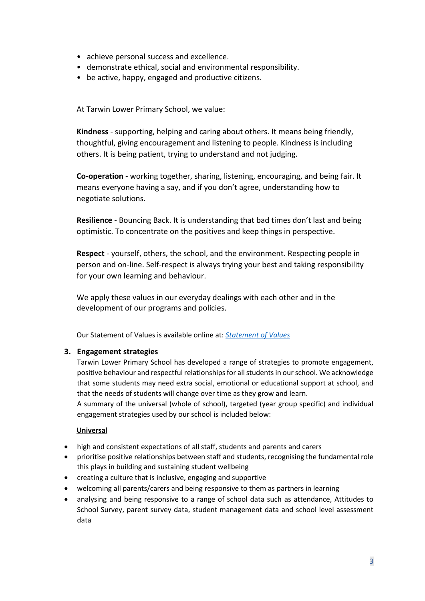- achieve personal success and excellence.
- demonstrate ethical, social and environmental responsibility.
- be active, happy, engaged and productive citizens.

At Tarwin Lower Primary School, we value:

**Kindness** - supporting, helping and caring about others. It means being friendly, thoughtful, giving encouragement and listening to people. Kindness is including others. It is being patient, trying to understand and not judging.

**Co-operation** - working together, sharing, listening, encouraging, and being fair. It means everyone having a say, and if you don't agree, understanding how to negotiate solutions.

**Resilience** - Bouncing Back. It is understanding that bad times don't last and being optimistic. To concentrate on the positives and keep things in perspective.

**Respect** - yourself, others, the school, and the environment. Respecting people in person and on-line. Self-respect is always trying your best and taking responsibility for your own learning and behaviour.

We apply these values in our everyday dealings with each other and in the development of our programs and policies.

Our Statement of Values is available online at: *[Statement of Values](https://cc588455-4beb-4dfa-957a-9be73eda7372.filesusr.com/ugd/5b0692_23de15ad8a494751830e405fd080ad30.pdf)*

# **3. Engagement strategies**

Tarwin Lower Primary School has developed a range of strategies to promote engagement, positive behaviour and respectful relationships for all students in our school. We acknowledge that some students may need extra social, emotional or educational support at school, and that the needs of students will change over time as they grow and learn.

A summary of the universal (whole of school), targeted (year group specific) and individual engagement strategies used by our school is included below:

# **Universal**

- high and consistent expectations of all staff, students and parents and carers
- prioritise positive relationships between staff and students, recognising the fundamental role this plays in building and sustaining student wellbeing
- creating a culture that is inclusive, engaging and supportive
- welcoming all parents/carers and being responsive to them as partners in learning
- analysing and being responsive to a range of school data such as attendance, Attitudes to School Survey, parent survey data, student management data and school level assessment data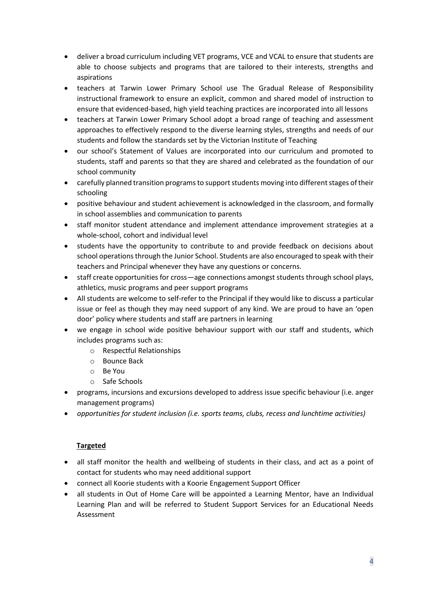- deliver a broad curriculum including VET programs, VCE and VCAL to ensure that students are able to choose subjects and programs that are tailored to their interests, strengths and aspirations
- teachers at Tarwin Lower Primary School use The Gradual Release of Responsibility instructional framework to ensure an explicit, common and shared model of instruction to ensure that evidenced-based, high yield teaching practices are incorporated into all lessons
- teachers at Tarwin Lower Primary School adopt a broad range of teaching and assessment approaches to effectively respond to the diverse learning styles, strengths and needs of our students and follow the standards set by the Victorian Institute of Teaching
- our school's Statement of Values are incorporated into our curriculum and promoted to students, staff and parents so that they are shared and celebrated as the foundation of our school community
- carefully planned transition programs to support students moving into different stages of their schooling
- positive behaviour and student achievement is acknowledged in the classroom, and formally in school assemblies and communication to parents
- staff monitor student attendance and implement attendance improvement strategies at a whole-school, cohort and individual level
- students have the opportunity to contribute to and provide feedback on decisions about school operations through the Junior School. Students are also encouraged to speak with their teachers and Principal whenever they have any questions or concerns.
- staff create opportunities for cross—age connections amongst students through school plays, athletics, music programs and peer support programs
- All students are welcome to self-refer to the Principal if they would like to discuss a particular issue or feel as though they may need support of any kind. We are proud to have an 'open door' policy where students and staff are partners in learning
- we engage in school wide positive behaviour support with our staff and students, which includes programs such as:
	- o Respectful Relationships
	- o Bounce Back
	- o Be You
	- o Safe Schools
- programs, incursions and excursions developed to address issue specific behaviour (i.e. anger management programs)
- *opportunities for student inclusion (i.e. sports teams, clubs, recess and lunchtime activities)*

# **Targeted**

- all staff monitor the health and wellbeing of students in their class, and act as a point of contact for students who may need additional support
- connect all Koorie students with a Koorie Engagement Support Officer
- all students in Out of Home Care will be appointed a Learning Mentor, have an Individual Learning Plan and will be referred to Student Support Services for an Educational Needs Assessment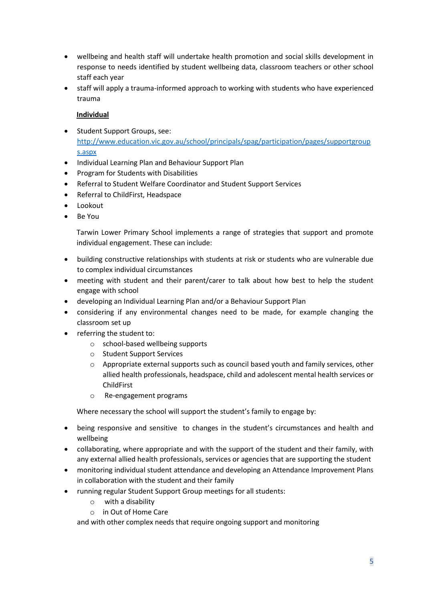- wellbeing and health staff will undertake health promotion and social skills development in response to needs identified by student wellbeing data, classroom teachers or other school staff each year
- staff will apply a trauma-informed approach to working with students who have experienced trauma

# **Individual**

- Student Support Groups, see: [http://www.education.vic.gov.au/school/principals/spag/participation/pages/supportgroup](http://www.education.vic.gov.au/school/principals/spag/participation/pages/supportgroups.aspx) [s.aspx](http://www.education.vic.gov.au/school/principals/spag/participation/pages/supportgroups.aspx)
- Individual Learning Plan and Behaviour Support Plan
- Program for Students with Disabilities
- Referral to Student Welfare Coordinator and Student Support Services
- Referral to ChildFirst, Headspace
- Lookout
- Be You

Tarwin Lower Primary School implements a range of strategies that support and promote individual engagement. These can include:

- building constructive relationships with students at risk or students who are vulnerable due to complex individual circumstances
- meeting with student and their parent/carer to talk about how best to help the student engage with school
- developing an Individual Learning Plan and/or a Behaviour Support Plan
- considering if any environmental changes need to be made, for example changing the classroom set up
- referring the student to:
	- o school-based wellbeing supports
	- o Student Support Services
	- $\circ$  Appropriate external supports such as council based youth and family services, other allied health professionals, headspace, child and adolescent mental health services or ChildFirst
	- o Re-engagement programs

Where necessary the school will support the student's family to engage by:

- being responsive and sensitive to changes in the student's circumstances and health and wellbeing
- collaborating, where appropriate and with the support of the student and their family, with any external allied health professionals, services or agencies that are supporting the student
- monitoring individual student attendance and developing an Attendance Improvement Plans in collaboration with the student and their family
- running regular Student Support Group meetings for all students:
	- o with a disability
	- o in Out of Home Care

and with other complex needs that require ongoing support and monitoring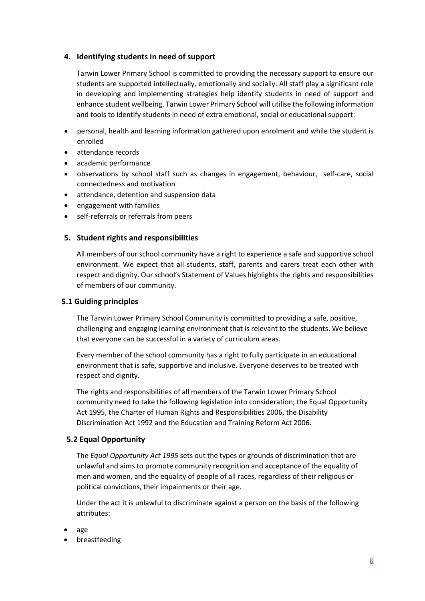# **4. Identifying students in need of support**

Tarwin Lower Primary School is committed to providing the necessary support to ensure our students are supported intellectually, emotionally and socially. All staff play a significant role in developing and implementing strategies help identify students in need of support and enhance student wellbeing. Tarwin Lower Primary School will utilise the following information and tools to identify students in need of extra emotional, social or educational support:

- personal, health and learning information gathered upon enrolment and while the student is enrolled
- attendance records
- academic performance
- observations by school staff such as changes in engagement, behaviour, self-care, social connectedness and motivation
- attendance, detention and suspension data
- engagement with families
- self-referrals or referrals from peers

# **5. Student rights and responsibilities**

All members of our school community have a right to experience a safe and supportive school environment. We expect that all students, staff, parents and carers treat each other with respect and dignity. Our school's Statement of Values highlights the rights and responsibilities of members of our community.

# **5.1 Guiding principles**

The Tarwin Lower Primary School Community is committed to providing a safe, positive, challenging and engaging learning environment that is relevant to the students. We believe that everyone can be successful in a variety of curriculum areas.

Every member of the school community has a right to fully participate in an educational environment that is safe, supportive and inclusive. Everyone deserves to be treated with respect and dignity.

The rights and responsibilities of all members of the Tarwin Lower Primary School community need to take the following legislation into consideration; the Equal Opportunity Act 1995, the Charter of Human Rights and Responsibilities 2006, the Disability Discrimination Act 1992 and the Education and Training Reform Act 2006.

# **5.2 Equal Opportunity**

The *Equal Opportunity Act 1995* sets out the types or grounds of discrimination that are unlawful and aims to promote community recognition and acceptance of the equality of men and women, and the equality of people of all races, regardless of their religious or political convictions, their impairments or their age.

Under the act it is unlawful to discriminate against a person on the basis of the following attributes:

- age
- breastfeeding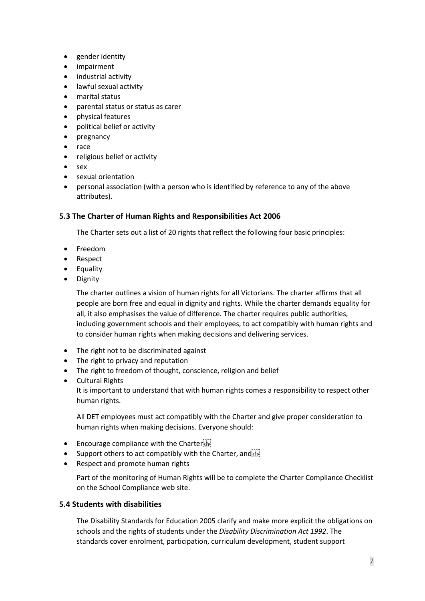- gender identity
- impairment
- industrial activity
- lawful sexual activity
- marital status
- parental status or status as carer
- physical features
- political belief or activity
- pregnancy
- race
- religious belief or activity
- sex
- sexual orientation
- personal association (with a person who is identified by reference to any of the above attributes).

#### **5.3 The Charter of Human Rights and Responsibilities Act 2006**

The Charter sets out a list of 20 rights that reflect the following four basic principles:

- Freedom
- Respect
- Equality
- Dignity

The charter outlines a vision of human rights for all Victorians. The charter affirms that all people are born free and equal in dignity and rights. While the charter demands equality for all, it also emphasises the value of difference. The charter requires public authorities, including government schools and their employees, to act compatibly with human rights and to consider human rights when making decisions and delivering services.

- The right not to be discriminated against
- The right to privacy and reputation
- The right to freedom of thought, conscience, religion and belief
- Cultural Rights

It is important to understand that with human rights comes a responsibility to respect other human rights.

All DET employees must act compatibly with the Charter and give proper consideration to human rights when making decisions. Everyone should:

- Encourage compliance with the Charter $\frac{1}{12}$
- Support others to act compatibly with the Charter, and  $\overline{S_{EP}}$
- Respect and promote human rights

Part of the monitoring of Human Rights will be to complete the Charter Compliance Checklist on the School Compliance web site.

#### **5.4 Students with disabilities**

The Disability Standards for Education 2005 clarify and make more explicit the obligations on schools and the rights of students under the *Disability Discrimination Act 1992*. The standards cover enrolment, participation, curriculum development, student support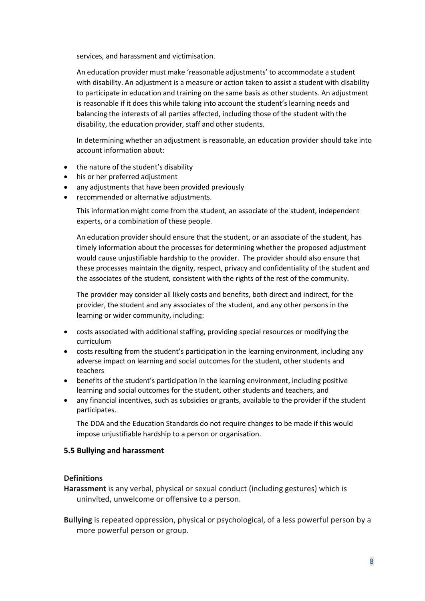services, and harassment and victimisation.

An education provider must make 'reasonable adjustments' to accommodate a student with disability. An adjustment is a measure or action taken to assist a student with disability to participate in education and training on the same basis as other students. An adjustment is reasonable if it does this while taking into account the student's learning needs and balancing the interests of all parties affected, including those of the student with the disability, the education provider, staff and other students.

In determining whether an adjustment is reasonable, an education provider should take into account information about:

- the nature of the student's disability
- his or her preferred adjustment
- any adjustments that have been provided previously
- recommended or alternative adjustments.

This information might come from the student, an associate of the student, independent experts, or a combination of these people.

An education provider should ensure that the student, or an associate of the student, has timely information about the processes for determining whether the proposed adjustment would cause unjustifiable hardship to the provider. The provider should also ensure that these processes maintain the dignity, respect, privacy and confidentiality of the student and the associates of the student, consistent with the rights of the rest of the community.

The provider may consider all likely costs and benefits, both direct and indirect, for the provider, the student and any associates of the student, and any other persons in the learning or wider community, including:

- costs associated with additional staffing, providing special resources or modifying the curriculum
- costs resulting from the student's participation in the learning environment, including any adverse impact on learning and social outcomes for the student, other students and teachers
- benefits of the student's participation in the learning environment, including positive learning and social outcomes for the student, other students and teachers, and
- any financial incentives, such as subsidies or grants, available to the provider if the student participates.

The DDA and the Education Standards do not require changes to be made if this would impose unjustifiable hardship to a person or organisation.

#### **5.5 Bullying and harassment**

#### **Definitions**

**Harassment** is any verbal, physical or sexual conduct (including gestures) which is uninvited, unwelcome or offensive to a person.

**Bullying** is repeated oppression, physical or psychological, of a less powerful person by a more powerful person or group.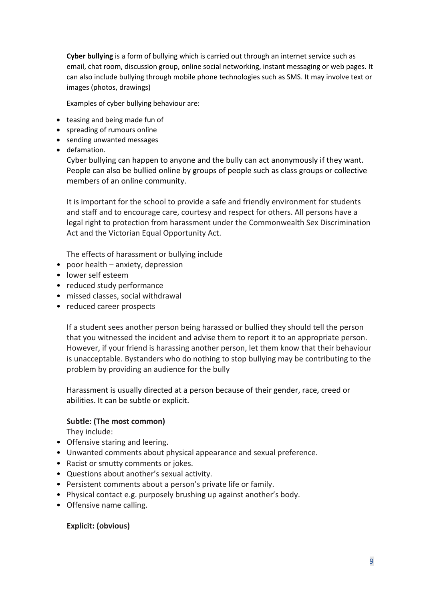**Cyber bullying** is a form of bullying which is carried out through an internet service such as email, chat room, discussion group, online social networking, instant messaging or web pages. It can also include bullying through mobile phone technologies such as SMS. It may involve text or images (photos, drawings)

Examples of cyber bullying behaviour are:

- teasing and being made fun of
- spreading of rumours online
- sending unwanted messages
- defamation.

Cyber bullying can happen to anyone and the bully can act anonymously if they want. People can also be bullied online by groups of people such as class groups or collective members of an online community.

It is important for the school to provide a safe and friendly environment for students and staff and to encourage care, courtesy and respect for others. All persons have a legal right to protection from harassment under the Commonwealth Sex Discrimination Act and the Victorian Equal Opportunity Act.

The effects of harassment or bullying include

- poor health anxiety, depression
- lower self esteem
- reduced study performance
- missed classes, social withdrawal
- reduced career prospects

If a student sees another person being harassed or bullied they should tell the person that you witnessed the incident and advise them to report it to an appropriate person. However, if your friend is harassing another person, let them know that their behaviour is unacceptable. Bystanders who do nothing to stop bullying may be contributing to the problem by providing an audience for the bully

Harassment is usually directed at a person because of their gender, race, creed or abilities. It can be subtle or explicit.

# **Subtle: (The most common)**

They include:

- Offensive staring and leering.
- Unwanted comments about physical appearance and sexual preference.
- Racist or smutty comments or jokes.
- Questions about another's sexual activity.
- Persistent comments about a person's private life or family.
- Physical contact e.g. purposely brushing up against another's body.
- Offensive name calling.

#### **Explicit: (obvious)**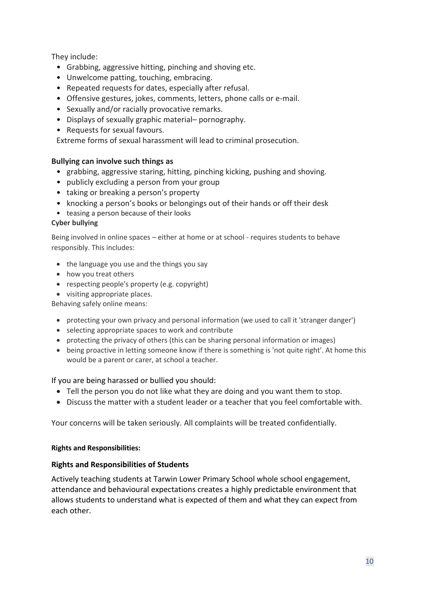They include:

- Grabbing, aggressive hitting, pinching and shoving etc.
- Unwelcome patting, touching, embracing.
- Repeated requests for dates, especially after refusal.
- Offensive gestures, jokes, comments, letters, phone calls or e-mail.
- Sexually and/or racially provocative remarks.
- Displays of sexually graphic material– pornography.
- Requests for sexual favours.

Extreme forms of sexual harassment will lead to criminal prosecution.

# **Bullying can involve such things as**

- grabbing, aggressive staring, hitting, pinching kicking, pushing and shoving.
- publicly excluding a person from your group
- taking or breaking a person's property
- knocking a person's books or belongings out of their hands or off their desk
- teasing a person because of their looks

# **Cyber bullying**

Being involved in online spaces – either at home or at school - requires students to behave responsibly. This includes:

- the language you use and the things you say
- how you treat others
- respecting people's property (e.g. copyright)
- visiting appropriate places.

Behaving safely online means:

- protecting your own privacy and personal information (we used to call it 'stranger danger')
- selecting appropriate spaces to work and contribute
- protecting the privacy of others (this can be sharing personal information or images)
- being proactive in letting someone know if there is something is 'not quite right'. At home this would be a parent or carer, at school a teacher.

# If you are being harassed or bullied you should:

- Tell the person you do not like what they are doing and you want them to stop.
- Discuss the matter with a student leader or a teacher that you feel comfortable with.

Your concerns will be taken seriously. All complaints will be treated confidentially.

# **Rights and Responsibilities:**

# **Rights and Responsibilities of Students**

Actively teaching students at Tarwin Lower Primary School whole school engagement, attendance and behavioural expectations creates a highly predictable environment that allows students to understand what is expected of them and what they can expect from each other.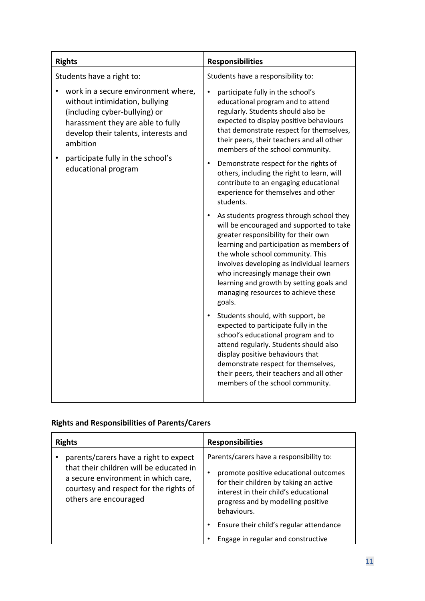| <b>Rights</b>                                                                                                                                                                                                                                               | <b>Responsibilities</b>                                                                                                                                                                                                                                                                                                                                                                      |
|-------------------------------------------------------------------------------------------------------------------------------------------------------------------------------------------------------------------------------------------------------------|----------------------------------------------------------------------------------------------------------------------------------------------------------------------------------------------------------------------------------------------------------------------------------------------------------------------------------------------------------------------------------------------|
| Students have a right to:                                                                                                                                                                                                                                   | Students have a responsibility to:                                                                                                                                                                                                                                                                                                                                                           |
| work in a secure environment where,<br>without intimidation, bullying<br>(including cyber-bullying) or<br>harassment they are able to fully<br>develop their talents, interests and<br>ambition<br>participate fully in the school's<br>educational program | participate fully in the school's<br>educational program and to attend<br>regularly. Students should also be<br>expected to display positive behaviours<br>that demonstrate respect for themselves,<br>their peers, their teachers and all other<br>members of the school community.                                                                                                         |
|                                                                                                                                                                                                                                                             | Demonstrate respect for the rights of<br>others, including the right to learn, will<br>contribute to an engaging educational<br>experience for themselves and other<br>students.                                                                                                                                                                                                             |
|                                                                                                                                                                                                                                                             | As students progress through school they<br>will be encouraged and supported to take<br>greater responsibility for their own<br>learning and participation as members of<br>the whole school community. This<br>involves developing as individual learners<br>who increasingly manage their own<br>learning and growth by setting goals and<br>managing resources to achieve these<br>goals. |
|                                                                                                                                                                                                                                                             | Students should, with support, be<br>expected to participate fully in the<br>school's educational program and to<br>attend regularly. Students should also<br>display positive behaviours that<br>demonstrate respect for themselves,<br>their peers, their teachers and all other<br>members of the school community.                                                                       |

# **Rights and Responsibilities of Parents/Carers**

| <b>Rights</b>                                                                                                                                                                              | <b>Responsibilities</b>                                                                                                                                                                                                                                                                                    |
|--------------------------------------------------------------------------------------------------------------------------------------------------------------------------------------------|------------------------------------------------------------------------------------------------------------------------------------------------------------------------------------------------------------------------------------------------------------------------------------------------------------|
| parents/carers have a right to expect<br>that their children will be educated in<br>a secure environment in which care,<br>courtesy and respect for the rights of<br>others are encouraged | Parents/carers have a responsibility to:<br>promote positive educational outcomes<br>for their children by taking an active<br>interest in their child's educational<br>progress and by modelling positive<br>behaviours.<br>Ensure their child's regular attendance<br>Engage in regular and constructive |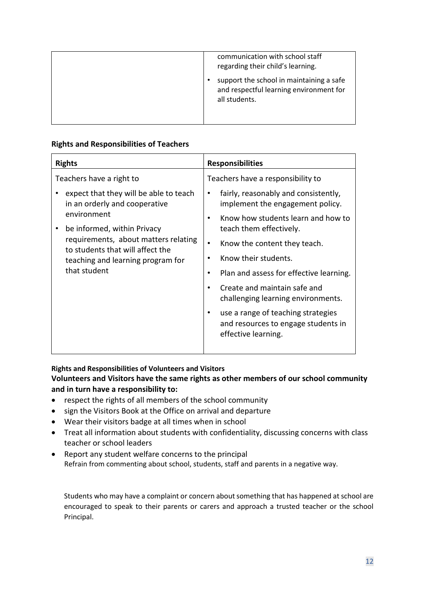| communication with school staff<br>regarding their child's learning.                                 |
|------------------------------------------------------------------------------------------------------|
| support the school in maintaining a safe<br>and respectful learning environment for<br>all students. |

# **Rights and Responsibilities of Teachers**

| <b>Rights</b>                                                                                                                                                                                                                                                                      | <b>Responsibilities</b>                                                                                                                                                                                                                                                                                                             |
|------------------------------------------------------------------------------------------------------------------------------------------------------------------------------------------------------------------------------------------------------------------------------------|-------------------------------------------------------------------------------------------------------------------------------------------------------------------------------------------------------------------------------------------------------------------------------------------------------------------------------------|
| Teachers have a right to<br>expect that they will be able to teach<br>in an orderly and cooperative<br>environment<br>be informed, within Privacy<br>requirements, about matters relating<br>to students that will affect the<br>teaching and learning program for<br>that student | Teachers have a responsibility to<br>fairly, reasonably and consistently,<br>implement the engagement policy.<br>Know how students learn and how to                                                                                                                                                                                 |
|                                                                                                                                                                                                                                                                                    | teach them effectively.<br>Know the content they teach.<br>$\bullet$<br>Know their students.<br>Plan and assess for effective learning.<br>٠<br>Create and maintain safe and<br>$\bullet$<br>challenging learning environments.<br>use a range of teaching strategies<br>and resources to engage students in<br>effective learning. |
|                                                                                                                                                                                                                                                                                    |                                                                                                                                                                                                                                                                                                                                     |

# **Rights and Responsibilities of Volunteers and Visitors**

# **Volunteers and Visitors have the same rights as other members of our school community and in turn have a responsibility to:**

- respect the rights of all members of the school community
- sign the Visitors Book at the Office on arrival and departure
- Wear their visitors badge at all times when in school
- Treat all information about students with confidentiality, discussing concerns with class teacher or school leaders
- Report any student welfare concerns to the principal Refrain from commenting about school, students, staff and parents in a negative way.

Students who may have a complaint or concern about something that has happened at school are encouraged to speak to their parents or carers and approach a trusted teacher or the school Principal.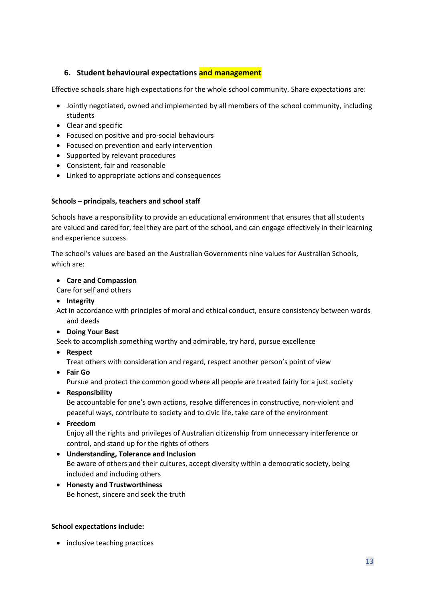# **6. Student behavioural expectations and management**

Effective schools share high expectations for the whole school community. Share expectations are:

- Jointly negotiated, owned and implemented by all members of the school community, including students
- Clear and specific
- Focused on positive and pro-social behaviours
- Focused on prevention and early intervention
- Supported by relevant procedures
- Consistent, fair and reasonable
- Linked to appropriate actions and consequences

#### **Schools – principals, teachers and school staff**

Schools have a responsibility to provide an educational environment that ensures that all students are valued and cared for, feel they are part of the school, and can engage effectively in their learning and experience success.

The school's values are based on the Australian Governments nine values for Australian Schools, which are:

• **Care and Compassion**

Care for self and others

• **Integrity**

Act in accordance with principles of moral and ethical conduct, ensure consistency between words and deeds

• **Doing Your Best**

Seek to accomplish something worthy and admirable, try hard, pursue excellence

• **Respect**

Treat others with consideration and regard, respect another person's point of view

• **Fair Go**

Pursue and protect the common good where all people are treated fairly for a just society

• **Responsibility**

Be accountable for one's own actions, resolve differences in constructive, non-violent and peaceful ways, contribute to society and to civic life, take care of the environment

• **Freedom**

Enjoy all the rights and privileges of Australian citizenship from unnecessary interference or control, and stand up for the rights of others

- **Understanding, Tolerance and Inclusion** Be aware of others and their cultures, accept diversity within a democratic society, being included and including others
- **Honesty and Trustworthiness** Be honest, sincere and seek the truth

#### **School expectations include:**

• inclusive teaching practices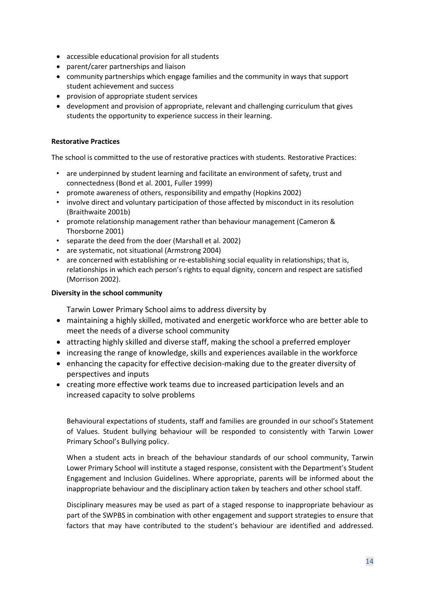- accessible educational provision for all students
- parent/carer partnerships and liaison
- community partnerships which engage families and the community in ways that support student achievement and success
- provision of appropriate student services
- development and provision of appropriate, relevant and challenging curriculum that gives students the opportunity to experience success in their learning.

#### **Restorative Practices**

The school is committed to the use of restorative practices with students. Restorative Practices:

- are underpinned by student learning and facilitate an environment of safety, trust and connectedness (Bond et al. 2001, Fuller 1999)
- promote awareness of others, responsibility and empathy (Hopkins 2002)
- involve direct and voluntary participation of those affected by misconduct in its resolution (Braithwaite 2001b)
- promote relationship management rather than behaviour management (Cameron & Thorsborne 2001)
- separate the deed from the doer (Marshall et al. 2002)
- are systematic, not situational (Armstrong 2004)
- are concerned with establishing or re-establishing social equality in relationships; that is, relationships in which each person's rights to equal dignity, concern and respect are satisfied (Morrison 2002).

# **Diversity in the school community**

Tarwin Lower Primary School aims to address diversity by

- maintaining a highly skilled, motivated and energetic workforce who are better able to meet the needs of a diverse school community
- attracting highly skilled and diverse staff, making the school a preferred employer
- increasing the range of knowledge, skills and experiences available in the workforce
- enhancing the capacity for effective decision-making due to the greater diversity of perspectives and inputs
- creating more effective work teams due to increased participation levels and an increased capacity to solve problems

Behavioural expectations of students, staff and families are grounded in our school's Statement of Values. Student bullying behaviour will be responded to consistently with Tarwin Lower Primary School's Bullying policy.

When a student acts in breach of the behaviour standards of our school community, Tarwin Lower Primary School will institute a staged response, consistent with the Department's Student Engagement and Inclusion Guidelines. Where appropriate, parents will be informed about the inappropriate behaviour and the disciplinary action taken by teachers and other school staff.

Disciplinary measures may be used as part of a staged response to inappropriate behaviour as part of the SWPBS in combination with other engagement and support strategies to ensure that factors that may have contributed to the student's behaviour are identified and addressed.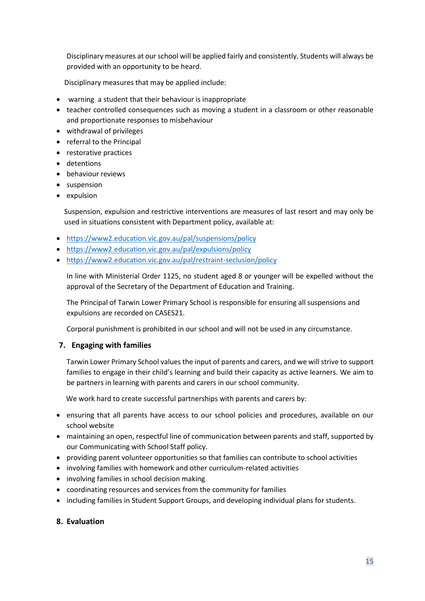Disciplinary measures at our school will be applied fairly and consistently. Students will always be provided with an opportunity to be heard.

Disciplinary measures that may be applied include:

- warning a student that their behaviour is inappropriate
- teacher controlled consequences such as moving a student in a classroom or other reasonable and proportionate responses to misbehaviour
- withdrawal of privileges
- referral to the Principal
- restorative practices
- detentions
- behaviour reviews
- suspension
- expulsion

Suspension, expulsion and restrictive interventions are measures of last resort and may only be used in situations consistent with Department policy, available at:

- <https://www2.education.vic.gov.au/pal/suspensions/policy>
- <https://www2.education.vic.gov.au/pal/expulsions/policy>
- <https://www2.education.vic.gov.au/pal/restraint-seclusion/policy>

In line with Ministerial Order 1125, no student aged 8 or younger will be expelled without the approval of the Secretary of the Department of Education and Training.

The Principal of Tarwin Lower Primary School is responsible for ensuring all suspensions and expulsions are recorded on CASES21.

Corporal punishment is prohibited in our school and will not be used in any circumstance.

#### **7. Engaging with families**

Tarwin Lower Primary School values the input of parents and carers, and we will strive to support families to engage in their child's learning and build their capacity as active learners. We aim to be partners in learning with parents and carers in our school community.

We work hard to create successful partnerships with parents and carers by:

- ensuring that all parents have access to our school policies and procedures, available on our school website
- maintaining an open, respectful line of communication between parents and staff, supported by our Communicating with School Staff policy.
- providing parent volunteer opportunities so that families can contribute to school activities
- involving families with homework and other curriculum-related activities
- involving families in school decision making
- coordinating resources and services from the community for families
- including families in Student Support Groups, and developing individual plans for students.

#### **8. Evaluation**